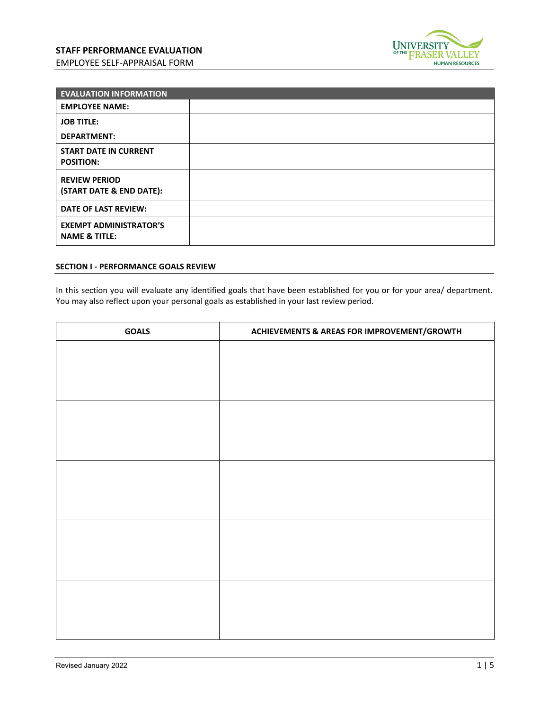

| <b>EVALUATION INFORMATION</b>                             |  |
|-----------------------------------------------------------|--|
| <b>EMPLOYEE NAME:</b>                                     |  |
| <b>JOB TITLE:</b>                                         |  |
| <b>DEPARTMENT:</b>                                        |  |
| <b>START DATE IN CURRENT</b><br><b>POSITION:</b>          |  |
| <b>REVIEW PERIOD</b><br>(START DATE & END DATE):          |  |
| <b>DATE OF LAST REVIEW:</b>                               |  |
| <b>EXEMPT ADMINISTRATOR'S</b><br><b>NAME &amp; TITLE:</b> |  |

## **SECTION I - PERFORMANCE GOALS REVIEW**

In this section you will evaluate any identified goals that have been established for you or for your area/ department. You may also reflect upon your personal goals as established in your last review period.

| <b>GOALS</b> | <b>ACHIEVEMENTS &amp; AREAS FOR IMPROVEMENT/GROWTH</b> |
|--------------|--------------------------------------------------------|
|              |                                                        |
|              |                                                        |
|              |                                                        |
|              |                                                        |
|              |                                                        |
|              |                                                        |
|              |                                                        |
|              |                                                        |
|              |                                                        |
|              |                                                        |
|              |                                                        |
|              |                                                        |
|              |                                                        |
|              |                                                        |
|              |                                                        |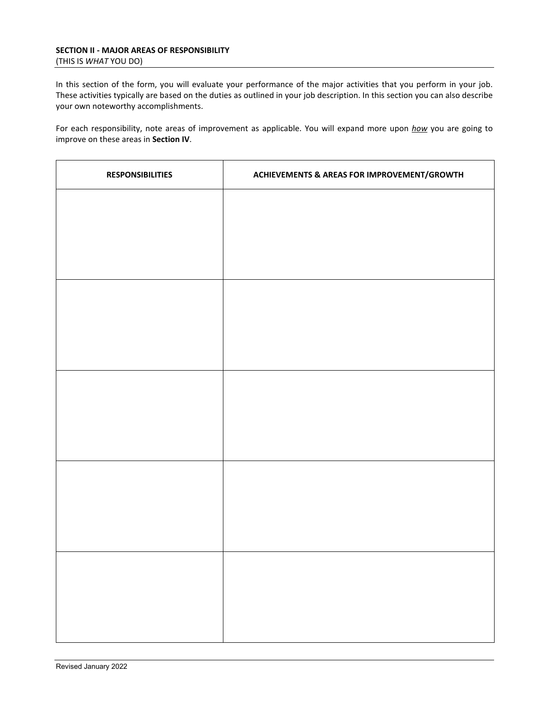In this section of the form, you will evaluate your performance of the major activities that you perform in your job. These activities typically are based on the duties as outlined in your job description. In this section you can also describe your own noteworthy accomplishments.

For each responsibility, note areas of improvement as applicable. You will expand more upon *how* you are going to improve on these areas in **Section IV**.

| <b>RESPONSIBILITIES</b> | <b>ACHIEVEMENTS &amp; AREAS FOR IMPROVEMENT/GROWTH</b> |
|-------------------------|--------------------------------------------------------|
|                         |                                                        |
|                         |                                                        |
|                         |                                                        |
|                         |                                                        |
|                         |                                                        |
|                         |                                                        |
|                         |                                                        |
|                         |                                                        |
|                         |                                                        |
|                         |                                                        |
|                         |                                                        |
|                         |                                                        |
|                         |                                                        |
|                         |                                                        |
|                         |                                                        |
|                         |                                                        |
|                         |                                                        |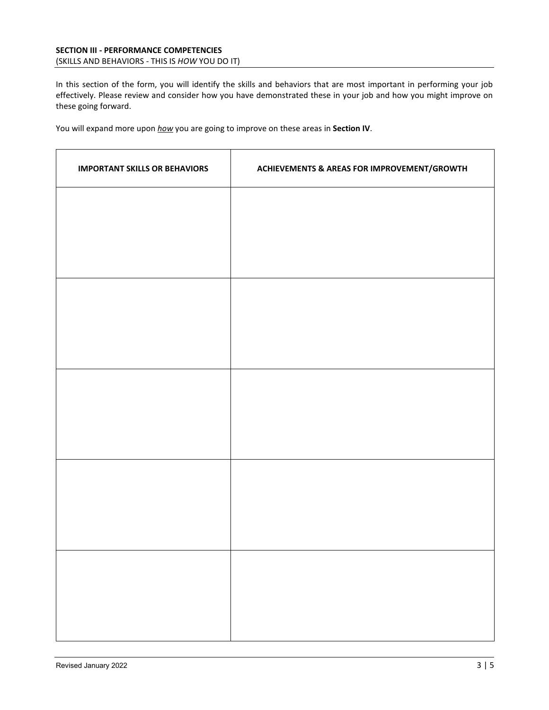In this section of the form, you will identify the skills and behaviors that are most important in performing your job effectively. Please review and consider how you have demonstrated these in your job and how you might improve on these going forward.

You will expand more upon *how* you are going to improve on these areas in **Section IV**.

| <b>IMPORTANT SKILLS OR BEHAVIORS</b> | <b>ACHIEVEMENTS &amp; AREAS FOR IMPROVEMENT/GROWTH</b> |
|--------------------------------------|--------------------------------------------------------|
|                                      |                                                        |
|                                      |                                                        |
|                                      |                                                        |
|                                      |                                                        |
|                                      |                                                        |
|                                      |                                                        |
|                                      |                                                        |
|                                      |                                                        |
|                                      |                                                        |
|                                      |                                                        |
|                                      |                                                        |
|                                      |                                                        |
|                                      |                                                        |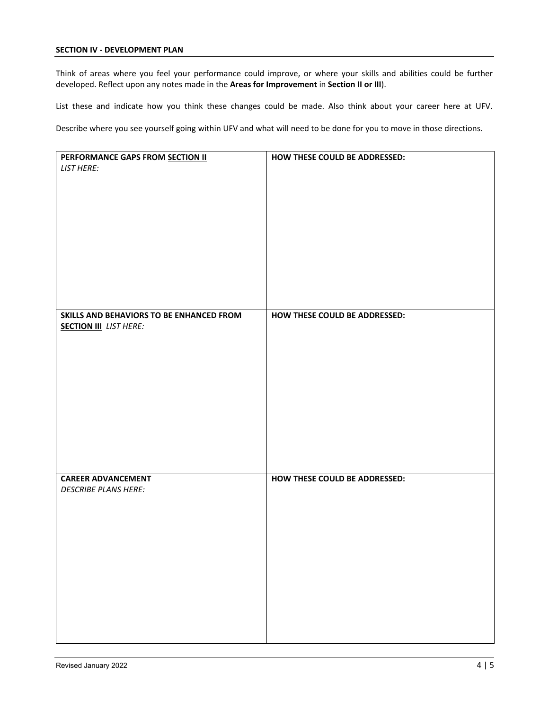## **SECTION IV - DEVELOPMENT PLAN**

Think of areas where you feel your performance could improve, or where your skills and abilities could be further developed. Reflect upon any notes made in the **Areas for Improvement** in **Section II or III**).

List these and indicate how you think these changes could be made. Also think about your career here at UFV.

Describe where you see yourself going within UFV and what will need to be done for you to move in those directions.

| PERFORMANCE GAPS FROM SECTION II         | HOW THESE COULD BE ADDRESSED: |
|------------------------------------------|-------------------------------|
| <b>LIST HERE:</b>                        |                               |
|                                          |                               |
|                                          |                               |
|                                          |                               |
|                                          |                               |
|                                          |                               |
|                                          |                               |
|                                          |                               |
|                                          |                               |
|                                          |                               |
|                                          |                               |
|                                          |                               |
|                                          |                               |
|                                          |                               |
| SKILLS AND BEHAVIORS TO BE ENHANCED FROM | HOW THESE COULD BE ADDRESSED: |
|                                          |                               |
| <b>SECTION III</b> LIST HERE:            |                               |
|                                          |                               |
|                                          |                               |
|                                          |                               |
|                                          |                               |
|                                          |                               |
|                                          |                               |
|                                          |                               |
|                                          |                               |
|                                          |                               |
|                                          |                               |
|                                          |                               |
|                                          |                               |
|                                          |                               |
| <b>CAREER ADVANCEMENT</b>                | HOW THESE COULD BE ADDRESSED: |
| <b>DESCRIBE PLANS HERE:</b>              |                               |
|                                          |                               |
|                                          |                               |
|                                          |                               |
|                                          |                               |
|                                          |                               |
|                                          |                               |
|                                          |                               |
|                                          |                               |
|                                          |                               |
|                                          |                               |
|                                          |                               |
|                                          |                               |
|                                          |                               |
|                                          |                               |